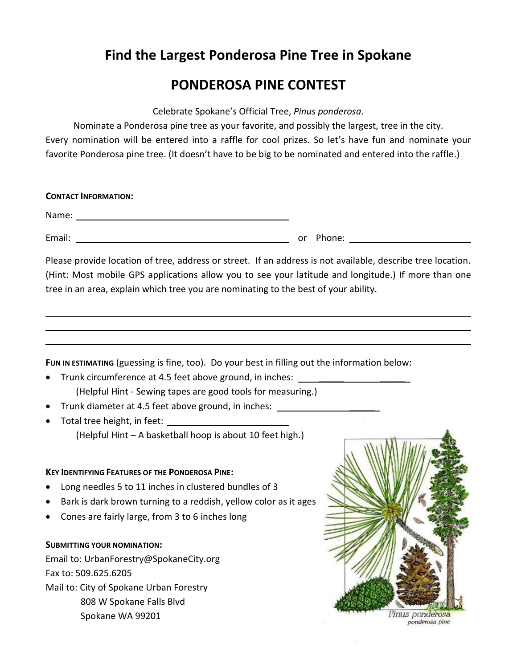## **Find the Largest Ponderosa Pine Tree in Spokane**

## **PONDEROSA PINE CONTEST**

Celebrate Spokane's Official Tree, *Pinus ponderosa*.

Nominate a Ponderosa pine tree as your favorite, and possibly the largest, tree in the city. Every nomination will be entered into a raffle for cool prizes. So let's have fun and nominate your favorite Ponderosa pine tree. (It doesn't have to be big to be nominated and entered into the raffle.)

| <b>CONTACT INFORMATION:</b>                                                                                                                                                                                                                                                                                                                                                                                                                                 |                                                  |
|-------------------------------------------------------------------------------------------------------------------------------------------------------------------------------------------------------------------------------------------------------------------------------------------------------------------------------------------------------------------------------------------------------------------------------------------------------------|--------------------------------------------------|
|                                                                                                                                                                                                                                                                                                                                                                                                                                                             |                                                  |
| <u> 2000 - Jan James James Barnett, fransk politik (d. 1878)</u><br>Email:                                                                                                                                                                                                                                                                                                                                                                                  | or Phone: <u>_______________________________</u> |
| Please provide location of tree, address or street. If an address is not available, describe tree location.<br>(Hint: Most mobile GPS applications allow you to see your latitude and longitude.) If more than one<br>tree in an area, explain which tree you are nominating to the best of your ability.                                                                                                                                                   |                                                  |
| FUN IN ESTIMATING (guessing is fine, too). Do your best in filling out the information below:<br>Trunk circumference at 4.5 feet above ground, in inches: _______________________<br>(Helpful Hint - Sewing tapes are good tools for measuring.)<br>Trunk diameter at 4.5 feet above ground, in inches: ____________________________<br>(Helpful Hint - A basketball hoop is about 10 feet high.)<br><b>KEY IDENTIFYING FEATURES OF THE PONDEROSA PINE:</b> |                                                  |
| Long needles 5 to 11 inches in clustered bundles of 3<br>Bark is dark brown turning to a reddish, yellow color as it ages<br>Cones are fairly large, from 3 to 6 inches long                                                                                                                                                                                                                                                                                |                                                  |
| <b>SUBMITTING YOUR NOMINATION:</b><br>Email to: UrbanForestry@SpokaneCity.org<br>Fax to: 509.625.6205<br>Mail to: City of Spokane Urban Forestry<br>808 W Spokane Falls Blvd<br>Spokane WA 99201                                                                                                                                                                                                                                                            | Pinus ponderosa<br>ponderosa pine                |